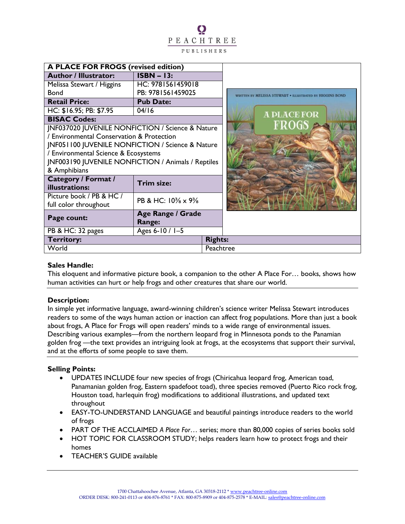# O PEACHTREE PUBLISHERS

| <b>A PLACE FOR FROGS (revised edition)</b>         |                             |                |                                                          |
|----------------------------------------------------|-----------------------------|----------------|----------------------------------------------------------|
| <b>Author / Illustrator:</b>                       | $ISBN - 13:$                |                |                                                          |
| Melissa Stewart / Higgins                          | HC: 9781561459018           |                |                                                          |
| <b>Bond</b>                                        | PB: 9781561459025           |                | WRITTEN BY MELISSA STEWART . ILLUSTRATED BY HIGGINS BOND |
| <b>Retail Price:</b>                               | <b>Pub Date:</b>            |                |                                                          |
| HC: \$16.95; PB: \$7.95                            | 04/16                       |                | <b>A PLACE FOR</b>                                       |
| <b>BISAC Codes:</b>                                |                             |                |                                                          |
| JNF037020 JUVENILE NONFICTION / Science & Nature   |                             |                | FROGS                                                    |
| / Environmental Conservation & Protection          |                             |                |                                                          |
| JNF051100 JUVENILE NONFICTION / Science & Nature   |                             |                |                                                          |
| / Environmental Science & Ecosystems               |                             |                |                                                          |
| JNF003190 JUVENILE NONFICTION / Animals / Reptiles |                             |                |                                                          |
| & Amphibians                                       |                             |                |                                                          |
| <b>Category / Format /</b><br>illustrations:       | Trim size:                  |                |                                                          |
| Picture book / PB & HC /                           | PB & HC: 10% x 9%           |                |                                                          |
| full color throughout                              |                             |                |                                                          |
| Page count:                                        | Age Range / Grade<br>Range: |                |                                                          |
| PB & HC: 32 pages                                  | Ages 6-10 / 1-5             |                |                                                          |
| <b>Territory:</b>                                  |                             | <b>Rights:</b> |                                                          |
| World                                              |                             | Peachtree      |                                                          |

## **Sales Handle:**

This eloquent and informative picture book, a companion to the other A Place For… books, shows how human activities can hurt or help frogs and other creatures that share our world.

## **Description:**

In simple yet informative language, award-winning children's science writer Melissa Stewart introduces readers to some of the ways human action or inaction can affect frog populations. More than just a book about frogs, A Place for Frogs will open readers' minds to a wide range of environmental issues. Describing various examples—from the northern leopard frog in Minnesota ponds to the Panamian golden frog —the text provides an intriguing look at frogs, at the ecosystems that support their survival, and at the efforts of some people to save them.

## **Selling Points:**

- UPDATES INCLUDE four new species of frogs (Chiricahua leopard frog, American toad, Panamanian golden frog, Eastern spadefoot toad), three species removed (Puerto Rico rock frog, Houston toad, harlequin frog) modifications to additional illustrations, and updated text throughout
- EASY-TO-UNDERSTAND LANGUAGE and beautiful paintings introduce readers to the world of frogs
- PART OF THE ACCLAIMED *A Place For*… series; more than 80,000 copies of series books sold
- HOT TOPIC FOR CLASSROOM STUDY; helps readers learn how to protect frogs and their homes
- TEACHER'S GUIDE available